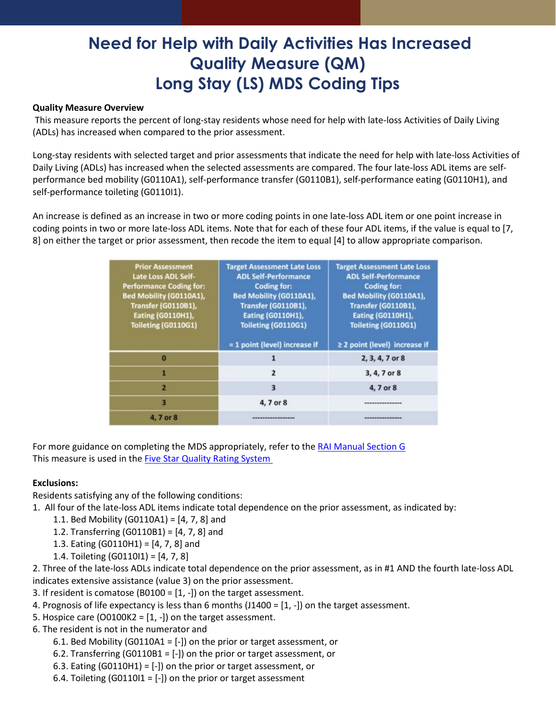# **Need for Help with Daily Activities Has Increased Quality Measure (QM) Long Stay (LS) MDS Coding Tips**

#### **Quality Measure Overview**

This measure reports the percent of long-stay residents whose need for help with late-loss Activities of Daily Living (ADLs) has increased when compared to the prior assessment.

Long-stay residents with selected target and prior assessments that indicate the need for help with late-loss Activities of Daily Living (ADLs) has increased when the selected assessments are compared. The four late-loss ADL items are selfperformance bed mobility (G0110A1), self-performance transfer (G0110B1), self-performance eating (G0110H1), and self-performance toileting (G0110I1).

An increase is defined as an increase in two or more coding points in one late-loss ADL item or one point increase in coding points in two or more late-loss ADL items. Note that for each of these four ADL items, if the value is equal to [7, 8] on either the target or prior assessment, then recode the item to equal [4] to allow appropriate comparison.

| <b>Prior Assessment</b><br><b>Late Loss ADL Self-</b><br><b>Performance Coding for:</b><br>Bed Mobility (G0110A1),<br><b>Transfer (G0110B1),</b><br><b>Eating (G0110H1),</b><br>Toileting (G0110G1) | <b>Target Assessment Late Loss</b><br><b>ADL Self-Performance</b><br><b>Coding for:</b><br>Bed Mobility (G0110A1),<br><b>Transfer (G0110B1),</b><br><b>Eating (G0110H1),</b><br>Toileting (G0110G1)<br>= 1 point (level) increase if | <b>Target Assessment Late Loss</b><br><b>ADL Self-Performance</b><br><b>Coding for:</b><br><b>Bed Mobility (G0110A1),</b><br>Transfer (G0110B1),<br><b>Eating (G0110H1),</b><br>Toileting (G0110G1)<br>≥ 2 point (level) increase if |
|-----------------------------------------------------------------------------------------------------------------------------------------------------------------------------------------------------|--------------------------------------------------------------------------------------------------------------------------------------------------------------------------------------------------------------------------------------|--------------------------------------------------------------------------------------------------------------------------------------------------------------------------------------------------------------------------------------|
| $\bf{0}$                                                                                                                                                                                            |                                                                                                                                                                                                                                      | 2, 3, 4, 7 or 8                                                                                                                                                                                                                      |
| 1                                                                                                                                                                                                   | $\overline{2}$                                                                                                                                                                                                                       | 3, 4, 7 or 8                                                                                                                                                                                                                         |
| 2                                                                                                                                                                                                   | 3                                                                                                                                                                                                                                    | 4, 7 or 8                                                                                                                                                                                                                            |
| 3                                                                                                                                                                                                   | 4, 7 or 8                                                                                                                                                                                                                            | ***************                                                                                                                                                                                                                      |
| 4, 7 or 8                                                                                                                                                                                           | -----------------                                                                                                                                                                                                                    | ---------------                                                                                                                                                                                                                      |

For more guidance on completing the MDS appropriately, refer to the [RAI Manual Section](https://www.cms.gov/Medicare/Quality-Initiatives-Patient-Assessment-Instruments/NursingHomeQualityInits/MDS30RAIManual) G This measure is used in the **Five Star Quality Rating System** 

### **Exclusions:**

Residents satisfying any of the following conditions:

- 1. All four of the late-loss ADL items indicate total dependence on the prior assessment, as indicated by:
	- 1.1. Bed Mobility (G0110A1) = [4, 7, 8] and
	- 1.2. Transferring (G0110B1) = [4, 7, 8] and
	- 1.3. Eating (G0110H1) = [4, 7, 8] and
	- 1.4. Toileting (G0110I1) = [4, 7, 8]

2. Three of the late-loss ADLs indicate total dependence on the prior assessment, as in #1 AND the fourth late-loss ADL indicates extensive assistance (value 3) on the prior assessment.

- 3. If resident is comatose (B0100 = [1, -]) on the target assessment.
- 4. Prognosis of life expectancy is less than 6 months (J1400 = [1, -]) on the target assessment.
- 5. Hospice care (O0100K2 =  $[1, -]$ ) on the target assessment.
- 6. The resident is not in the numerator and
	- 6.1. Bed Mobility (G0110A1 = [-]) on the prior or target assessment, or
	- 6.2. Transferring (G0110B1 = [-]) on the prior or target assessment, or
	- 6.3. Eating (G0110H1) = [-]) on the prior or target assessment, or
	- 6.4. Toileting (G0110I1 =  $[-]$ ) on the prior or target assessment